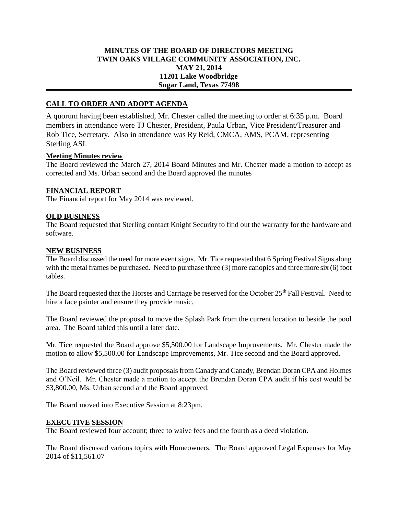## **MINUTES OF THE BOARD OF DIRECTORS MEETING TWIN OAKS VILLAGE COMMUNITY ASSOCIATION, INC. MAY 21, 2014 11201 Lake Woodbridge Sugar Land, Texas 77498**

# **CALL TO ORDER AND ADOPT AGENDA**

A quorum having been established, Mr. Chester called the meeting to order at 6:35 p.m. Board members in attendance were TJ Chester, President, Paula Urban, Vice President/Treasurer and Rob Tice, Secretary. Also in attendance was Ry Reid, CMCA, AMS, PCAM, representing Sterling ASI.

### **Meeting Minutes review**

The Board reviewed the March 27, 2014 Board Minutes and Mr. Chester made a motion to accept as corrected and Ms. Urban second and the Board approved the minutes

### **FINANCIAL REPORT**

The Financial report for May 2014 was reviewed.

### **OLD BUSINESS**

The Board requested that Sterling contact Knight Security to find out the warranty for the hardware and software.

### **NEW BUSINESS**

The Board discussed the need for more event signs. Mr. Tice requested that 6 Spring Festival Signs along with the metal frames be purchased. Need to purchase three (3) more canopies and three more six (6) foot tables.

The Board requested that the Horses and Carriage be reserved for the October 25<sup>th</sup> Fall Festival. Need to hire a face painter and ensure they provide music.

The Board reviewed the proposal to move the Splash Park from the current location to beside the pool area. The Board tabled this until a later date.

Mr. Tice requested the Board approve \$5,500.00 for Landscape Improvements. Mr. Chester made the motion to allow \$5,500.00 for Landscape Improvements, Mr. Tice second and the Board approved.

The Board reviewed three (3) audit proposals from Canady and Canady, Brendan Doran CPA and Holmes and O'Neil. Mr. Chester made a motion to accept the Brendan Doran CPA audit if his cost would be \$3,800.00, Ms. Urban second and the Board approved.

The Board moved into Executive Session at 8:23pm.

#### **EXECUTIVE SESSION**

The Board reviewed four account; three to waive fees and the fourth as a deed violation.

The Board discussed various topics with Homeowners. The Board approved Legal Expenses for May 2014 of \$11,561.07